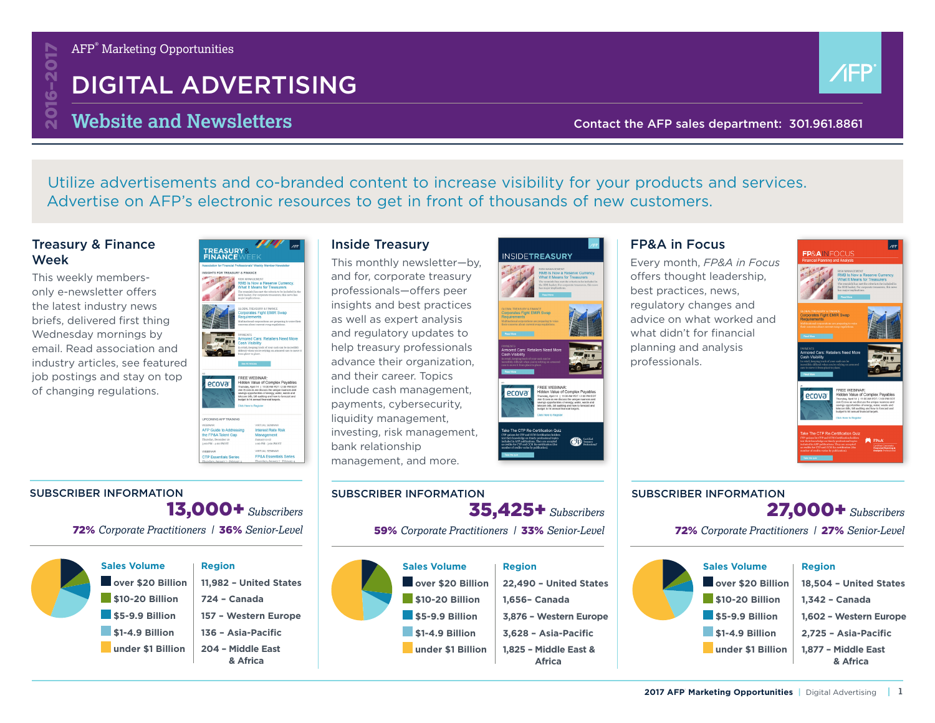

# DIGITAL ADVERTISING



# **Website and Newsletters Contact the AFP sales department: 301.961.8861**

Utilize advertisements and co-branded content to increase visibility for your products and services. Advertise on AFP's electronic resources to get in front of thousands of new customers.

### Treasury & Finance Week

This weekly membersonly e-newsletter offers the latest industry news briefs, delivered first thing Wednesday mornings by email. Read association and industry articles, see featured job postings and stay on top of changing regulations.



### Inside Treasury

This monthly newsletter—by, and for, corporate treasury professionals—offers peer insights and best practices as well as expert analysis and regulatory updates to help treasury professionals advance their organization, and their career. Topics include cash management, payments, cybersecurity, liquidity management, investing, risk management, bank relationship management, and more.



### FP&A in Focus

Every month, *FP&A in Focus* offers thought leadership, best practices, news, regulatory changes and advice on what worked and what didn't for financial planning and analysis professionals.



### 13,000+*Subscribers* SUBSCRIBER INFORMATION

72% *Corporate Practitioners |* 36% *Senior-Level*

| <b>Sales Volume</b><br>over \$20 Billion | <b>Region</b><br>11,982 - United States |
|------------------------------------------|-----------------------------------------|
| \$10-20 Billion                          | 724 - Canada                            |
| \$5-9.9 Billion                          | 157 - Western Europe                    |
| \$1-4.9 Billion                          | 136 - Asia-Pacific                      |
| under \$1 Billion                        | 204 - Middle East<br>& Africa           |

# SUBSCRIBER INFORMATION

35,425+*Subscribers*

59% *Corporate Practitioners |* 33% *Senior-Level*



#### **Sales Volume** over \$20 Billion  **\$10-20 Billion \$5-9.9 Billion** 27,000+*Subscribers* 72% *Corporate Practitioners |* 27% *Senior-Level* **Region 18,504 – United States 1,342 – Canada 1,602 – Western Europe**

 **\$1-4.9 Billion under \$1 Billion 2,725 – Asia-Pacific 1,877 – Middle East & Africa**

SUBSCRIBER INFORMATION